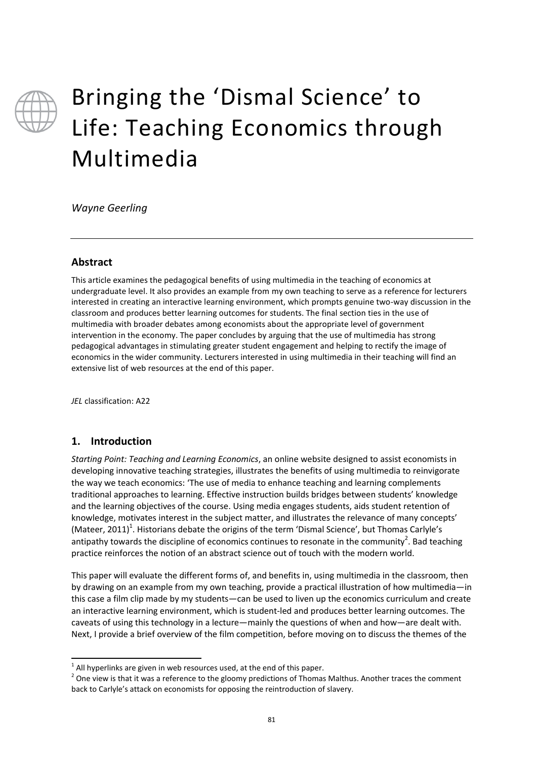

# Bringing the 'Dismal Science' to Life: Teaching Economics through Multimedia

*Wayne Geerling*

#### **Abstract**

This article examines the pedagogical benefits of using multimedia in the teaching of economics at undergraduate level. It also provides an example from my own teaching to serve as a reference for lecturers interested in creating an interactive learning environment, which prompts genuine two-way discussion in the classroom and produces better learning outcomes for students. The final section ties in the use of multimedia with broader debates among economists about the appropriate level of government intervention in the economy. The paper concludes by arguing that the use of multimedia has strong pedagogical advantages in stimulating greater student engagement and helping to rectify the image of economics in the wider community. Lecturers interested in using multimedia in their teaching will find an extensive list of web resources at the end of this paper.

*JEL* classification: A22

## **1. Introduction**

*Starting Point: Teaching and Learning Economics*, an online website designed to assist economists in developing innovative teaching strategies, illustrates the benefits of using multimedia to reinvigorate the way we teach economics: 'The use of media to enhance teaching and learning complements traditional approaches to learning. Effective instruction builds bridges between students' knowledge and the learning objectives of the course. Using media engages students, aids student retention of knowledge, motivates interest in the subject matter, and illustrates the relevance of many concepts' (Mateer, 2011)<sup>1</sup>. Historians debate the origins of the term 'Dismal Science', but Thomas Carlyle's antipathy towards the discipline of economics continues to resonate in the community<sup>2</sup>. Bad teaching practice reinforces the notion of an abstract science out of touch with the modern world.

This paper will evaluate the different forms of, and benefits in, using multimedia in the classroom, then by drawing on an example from my own teaching, provide a practical illustration of how multimedia—in this case a film clip made by my students—can be used to liven up the economics curriculum and create an interactive learning environment, which is student-led and produces better learning outcomes. The caveats of using this technology in a lecture—mainly the questions of when and how—are dealt with. Next, I provide a brief overview of the film competition, before moving on to discuss the themes of the

 $^1$  All hyperlinks are given in web resources used, at the end of this paper.

<sup>&</sup>lt;sup>2</sup> One view is that it was a reference to the gloomy predictions of Thomas Malthus. Another traces the comment back to Carlyle's attack on economists for opposing the reintroduction of slavery.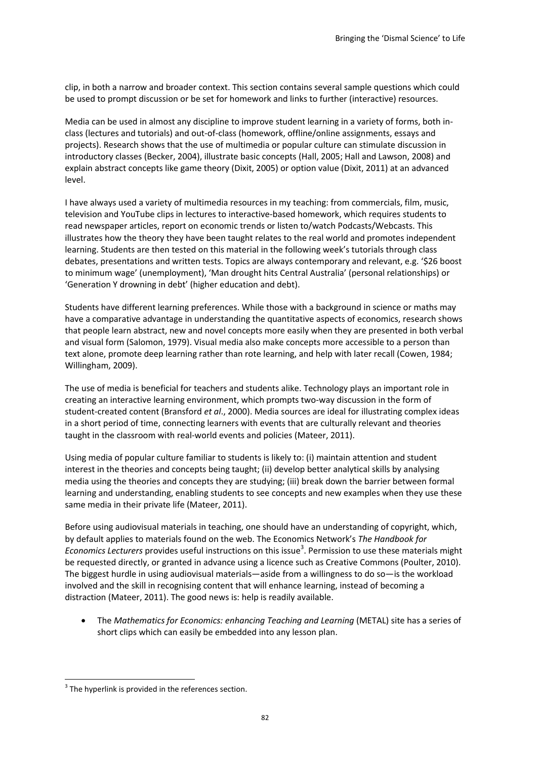clip, in both a narrow and broader context. This section contains several sample questions which could be used to prompt discussion or be set for homework and links to further (interactive) resources.

Media can be used in almost any discipline to improve student learning in a variety of forms, both inclass (lectures and tutorials) and out-of-class (homework, offline/online assignments, essays and projects). Research shows that the use of multimedia or popular culture can stimulate discussion in introductory classes (Becker, 2004), illustrate basic concepts (Hall, 2005; Hall and Lawson, 2008) and explain abstract concepts like game theory (Dixit, 2005) or option value (Dixit, 2011) at an advanced level.

I have always used a variety of multimedia resources in my teaching: from commercials, film, music, television and YouTube clips in lectures to interactive-based homework, which requires students to read newspaper articles, report on economic trends or listen to/watch Podcasts/Webcasts. This illustrates how the theory they have been taught relates to the real world and promotes independent learning. Students are then tested on this material in the following week's tutorials through class debates, presentations and written tests. Topics are always contemporary and relevant, e.g. '\$26 boost to minimum wage' (unemployment), 'Man drought hits Central Australia' (personal relationships) or 'Generation Y drowning in debt' (higher education and debt).

Students have different learning preferences. While those with a background in science or maths may have a comparative advantage in understanding the quantitative aspects of economics, research shows that people learn abstract, new and novel concepts more easily when they are presented in both verbal and visual form (Salomon, 1979). Visual media also make concepts more accessible to a person than text alone, promote deep learning rather than rote learning, and help with later recall (Cowen, 1984; Willingham, 2009).

The use of media is beneficial for teachers and students alike. Technology plays an important role in creating an interactive learning environment, which prompts two-way discussion in the form of student-created content (Bransford *et al*., 2000). Media sources are ideal for illustrating complex ideas in a short period of time, connecting learners with events that are culturally relevant and theories taught in the classroom with real-world events and policies (Mateer, 2011).

Using media of popular culture familiar to students is likely to: (i) maintain attention and student interest in the theories and concepts being taught; (ii) develop better analytical skills by analysing media using the theories and concepts they are studying; (iii) break down the barrier between formal learning and understanding, enabling students to see concepts and new examples when they use these same media in their private life (Mateer, 2011).

Before using audiovisual materials in teaching, one should have an understanding of copyright, which, by default applies to materials found on the web. The Economics Network's *The Handbook for*  Economics Lecturers provides useful instructions on this issue<sup>3</sup>. Permission to use these materials might be requested directly, or granted in advance using a licence such as Creative Commons (Poulter, 2010). The biggest hurdle in using audiovisual materials—aside from a willingness to do so—is the workload involved and the skill in recognising content that will enhance learning, instead of becoming a distraction (Mateer, 2011). The good news is: help is readily available.

 The *Mathematics for Economics: enhancing Teaching and Learning* (METAL) site has a series of short clips which can easily be embedded into any lesson plan.

-

 $3$  The hyperlink is provided in the references section.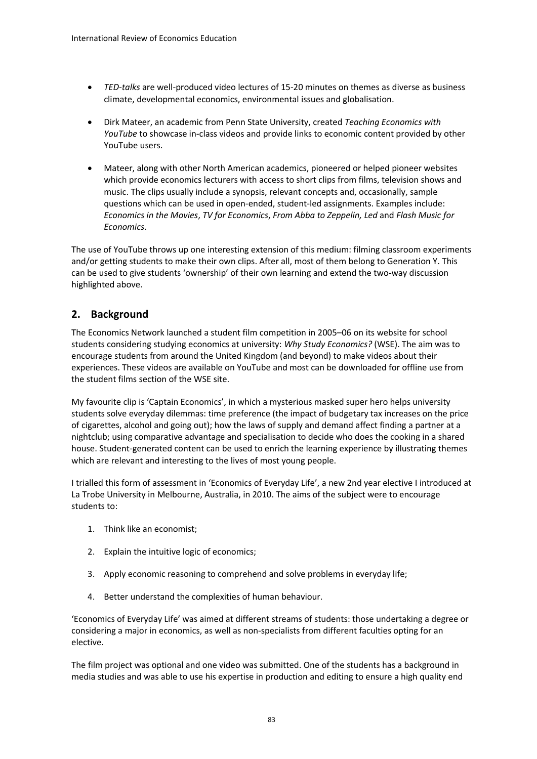- *TED-talks* are well-produced video lectures of 15-20 minutes on themes as diverse as business climate, developmental economics, environmental issues and globalisation.
- Dirk Mateer, an academic from Penn State University, created *Teaching Economics with YouTube* to showcase in-class videos and provide links to economic content provided by other YouTube users.
- Mateer, along with other North American academics, pioneered or helped pioneer websites which provide economics lecturers with access to short clips from films, television shows and music. The clips usually include a synopsis, relevant concepts and, occasionally, sample questions which can be used in open-ended, student-led assignments. Examples include: *Economics in the Movies*, *TV for Economics*, *From Abba to Zeppelin, Led* and *Flash Music for Economics*.

The use of YouTube throws up one interesting extension of this medium: filming classroom experiments and/or getting students to make their own clips. After all, most of them belong to Generation Y. This can be used to give students 'ownership' of their own learning and extend the two-way discussion highlighted above.

# **2. Background**

The Economics Network launched a student film competition in 2005–06 on its website for school students considering studying economics at university: *Why Study Economics?* (WSE). The aim was to encourage students from around the United Kingdom (and beyond) to make videos about their experiences. These videos are available on YouTube and most can be downloaded for offline use from the student films section of the WSE site.

My favourite clip is 'Captain Economics', in which a mysterious masked super hero helps university students solve everyday dilemmas: time preference (the impact of budgetary tax increases on the price of cigarettes, alcohol and going out); how the laws of supply and demand affect finding a partner at a nightclub; using comparative advantage and specialisation to decide who does the cooking in a shared house. Student-generated content can be used to enrich the learning experience by illustrating themes which are relevant and interesting to the lives of most young people.

I trialled this form of assessment in 'Economics of Everyday Life', a new 2nd year elective I introduced at La Trobe University in Melbourne, Australia, in 2010. The aims of the subject were to encourage students to:

- 1. Think like an economist;
- 2. Explain the intuitive logic of economics;
- 3. Apply economic reasoning to comprehend and solve problems in everyday life;
- 4. Better understand the complexities of human behaviour.

'Economics of Everyday Life' was aimed at different streams of students: those undertaking a degree or considering a major in economics, as well as non-specialists from different faculties opting for an elective.

The film project was optional and one video was submitted. One of the students has a background in media studies and was able to use his expertise in production and editing to ensure a high quality end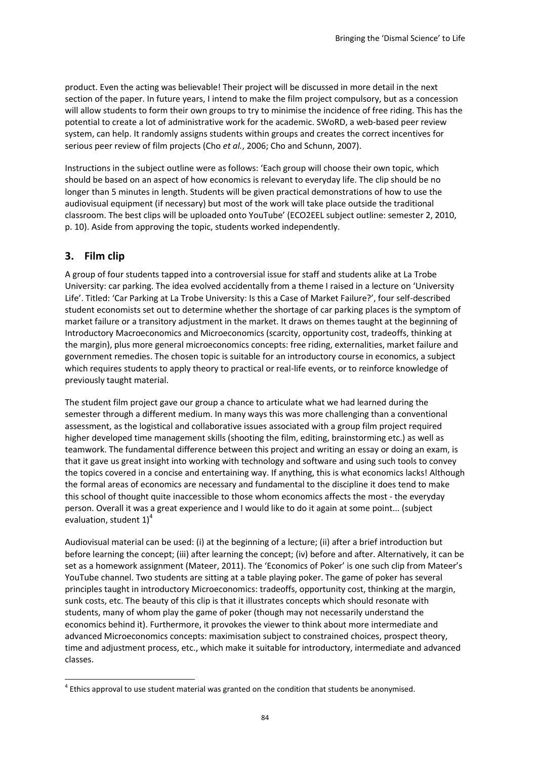product. Even the acting was believable! Their project will be discussed in more detail in the next section of the paper. In future years, I intend to make the film project compulsory, but as a concession will allow students to form their own groups to try to minimise the incidence of free riding. This has the potential to create a lot of administrative work for the academic. SWoRD, a web-based peer review system, can help. It randomly assigns students within groups and creates the correct incentives for serious peer review of film projects (Cho *et al.*, 2006; Cho and Schunn, 2007).

Instructions in the subject outline were as follows: 'Each group will choose their own topic, which should be based on an aspect of how economics is relevant to everyday life. The clip should be no longer than 5 minutes in length. Students will be given practical demonstrations of how to use the audiovisual equipment (if necessary) but most of the work will take place outside the traditional classroom. The best clips will be uploaded onto YouTube' (ECO2EEL subject outline: semester 2, 2010, p. 10). Aside from approving the topic, students worked independently.

# **3. Film clip**

-

A group of four students tapped into a controversial issue for staff and students alike at La Trobe University: car parking. The idea evolved accidentally from a theme I raised in a lecture on 'University Life'. Titled: 'Car Parking at La Trobe University: Is this a Case of Market Failure?', four self-described student economists set out to determine whether the shortage of car parking places is the symptom of market failure or a transitory adjustment in the market. It draws on themes taught at the beginning of Introductory Macroeconomics and Microeconomics (scarcity, opportunity cost, tradeoffs, thinking at the margin), plus more general microeconomics concepts: free riding, externalities, market failure and government remedies. The chosen topic is suitable for an introductory course in economics, a subject which requires students to apply theory to practical or real-life events, or to reinforce knowledge of previously taught material.

The student film project gave our group a chance to articulate what we had learned during the semester through a different medium. In many ways this was more challenging than a conventional assessment, as the logistical and collaborative issues associated with a group film project required higher developed time management skills (shooting the film, editing, brainstorming etc.) as well as teamwork. The fundamental difference between this project and writing an essay or doing an exam, is that it gave us great insight into working with technology and software and using such tools to convey the topics covered in a concise and entertaining way. If anything, this is what economics lacks! Although the formal areas of economics are necessary and fundamental to the discipline it does tend to make this school of thought quite inaccessible to those whom economics affects the most - the everyday person. Overall it was a great experience and I would like to do it again at some point... (subject evaluation, student  $1)^4$ 

Audiovisual material can be used: (i) at the beginning of a lecture; (ii) after a brief introduction but before learning the concept; (iii) after learning the concept; (iv) before and after. Alternatively, it can be set as a homework assignment (Mateer, 2011). The 'Economics of Poker' is one such clip from Mateer's YouTube channel. Two students are sitting at a table playing poker. The game of poker has several principles taught in introductory Microeconomics: tradeoffs, opportunity cost, thinking at the margin, sunk costs, etc. The beauty of this clip is that it illustrates concepts which should resonate with students, many of whom play the game of poker (though may not necessarily understand the economics behind it). Furthermore, it provokes the viewer to think about more intermediate and advanced Microeconomics concepts: maximisation subject to constrained choices, prospect theory, time and adjustment process, etc., which make it suitable for introductory, intermediate and advanced classes.

 $<sup>4</sup>$  Ethics approval to use student material was granted on the condition that students be anonymised.</sup>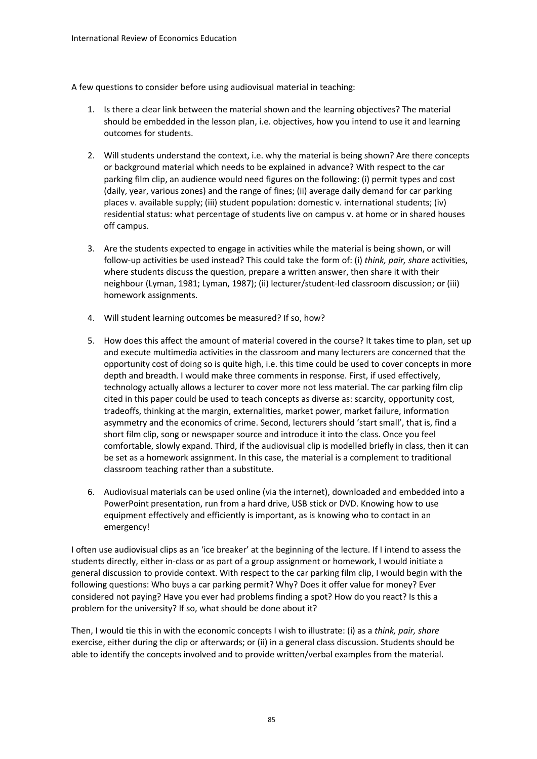A few questions to consider before using audiovisual material in teaching:

- 1. Is there a clear link between the material shown and the learning objectives? The material should be embedded in the lesson plan, i.e. objectives, how you intend to use it and learning outcomes for students.
- 2. Will students understand the context, i.e. why the material is being shown? Are there concepts or background material which needs to be explained in advance? With respect to the car parking film clip, an audience would need figures on the following: (i) permit types and cost (daily, year, various zones) and the range of fines; (ii) average daily demand for car parking places v. available supply; (iii) student population: domestic v. international students; (iv) residential status: what percentage of students live on campus v. at home or in shared houses off campus.
- 3. Are the students expected to engage in activities while the material is being shown, or will follow-up activities be used instead? This could take the form of: (i) *think, pair, share* activities, where students discuss the question, prepare a written answer, then share it with their neighbour (Lyman, 1981; Lyman, 1987); (ii) lecturer/student-led classroom discussion; or (iii) homework assignments.
- 4. Will student learning outcomes be measured? If so, how?
- 5. How does this affect the amount of material covered in the course? It takes time to plan, set up and execute multimedia activities in the classroom and many lecturers are concerned that the opportunity cost of doing so is quite high, i.e. this time could be used to cover concepts in more depth and breadth. I would make three comments in response. First, if used effectively, technology actually allows a lecturer to cover more not less material. The car parking film clip cited in this paper could be used to teach concepts as diverse as: scarcity, opportunity cost, tradeoffs, thinking at the margin, externalities, market power, market failure, information asymmetry and the economics of crime. Second, lecturers should 'start small', that is, find a short film clip, song or newspaper source and introduce it into the class. Once you feel comfortable, slowly expand. Third, if the audiovisual clip is modelled briefly in class, then it can be set as a homework assignment. In this case, the material is a complement to traditional classroom teaching rather than a substitute.
- 6. Audiovisual materials can be used online (via the internet), downloaded and embedded into a PowerPoint presentation, run from a hard drive, USB stick or DVD. Knowing how to use equipment effectively and efficiently is important, as is knowing who to contact in an emergency!

I often use audiovisual clips as an 'ice breaker' at the beginning of the lecture. If I intend to assess the students directly, either in-class or as part of a group assignment or homework, I would initiate a general discussion to provide context. With respect to the car parking film clip, I would begin with the following questions: Who buys a car parking permit? Why? Does it offer value for money? Ever considered not paying? Have you ever had problems finding a spot? How do you react? Is this a problem for the university? If so, what should be done about it?

Then, I would tie this in with the economic concepts I wish to illustrate: (i) as a *think, pair, share*  exercise, either during the clip or afterwards; or (ii) in a general class discussion. Students should be able to identify the concepts involved and to provide written/verbal examples from the material.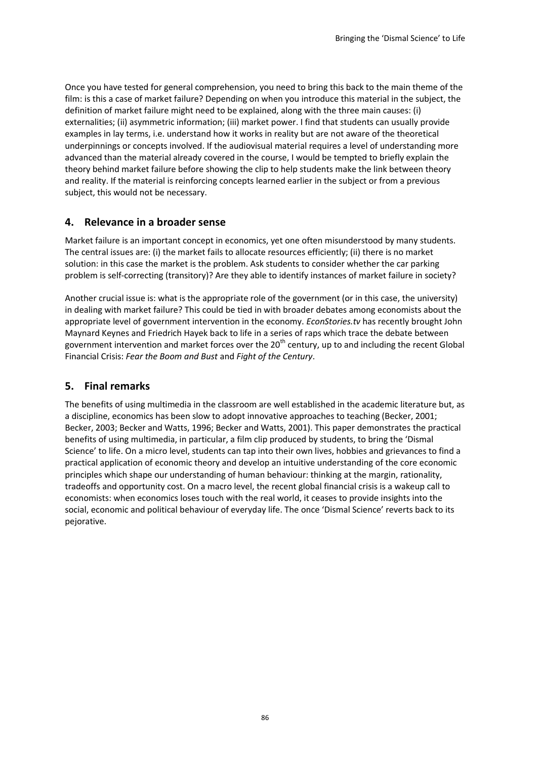Once you have tested for general comprehension, you need to bring this back to the main theme of the film: is this a case of market failure? Depending on when you introduce this material in the subject, the definition of market failure might need to be explained, along with the three main causes: (i) externalities; (ii) asymmetric information; (iii) market power. I find that students can usually provide examples in lay terms, i.e. understand how it works in reality but are not aware of the theoretical underpinnings or concepts involved. If the audiovisual material requires a level of understanding more advanced than the material already covered in the course, I would be tempted to briefly explain the theory behind market failure before showing the clip to help students make the link between theory and reality. If the material is reinforcing concepts learned earlier in the subject or from a previous subject, this would not be necessary.

#### **4. Relevance in a broader sense**

Market failure is an important concept in economics, yet one often misunderstood by many students. The central issues are: (i) the market fails to allocate resources efficiently; (ii) there is no market solution: in this case the market is the problem. Ask students to consider whether the car parking problem is self-correcting (transitory)? Are they able to identify instances of market failure in society?

Another crucial issue is: what is the appropriate role of the government (or in this case, the university) in dealing with market failure? This could be tied in with broader debates among economists about the appropriate level of government intervention in the economy. *EconStories.tv* has recently brought John Maynard Keynes and Friedrich Hayek back to life in a series of raps which trace the debate between government intervention and market forces over the  $20<sup>th</sup>$  century, up to and including the recent Global Financial Crisis: *Fear the Boom and Bust* and *Fight of the Century*.

## **5. Final remarks**

The benefits of using multimedia in the classroom are well established in the academic literature but, as a discipline, economics has been slow to adopt innovative approaches to teaching (Becker, 2001; Becker, 2003; Becker and Watts, 1996; Becker and Watts, 2001). This paper demonstrates the practical benefits of using multimedia, in particular, a film clip produced by students, to bring the 'Dismal Science' to life. On a micro level, students can tap into their own lives, hobbies and grievances to find a practical application of economic theory and develop an intuitive understanding of the core economic principles which shape our understanding of human behaviour: thinking at the margin, rationality, tradeoffs and opportunity cost. On a macro level, the recent global financial crisis is a wakeup call to economists: when economics loses touch with the real world, it ceases to provide insights into the social, economic and political behaviour of everyday life. The once 'Dismal Science' reverts back to its pejorative.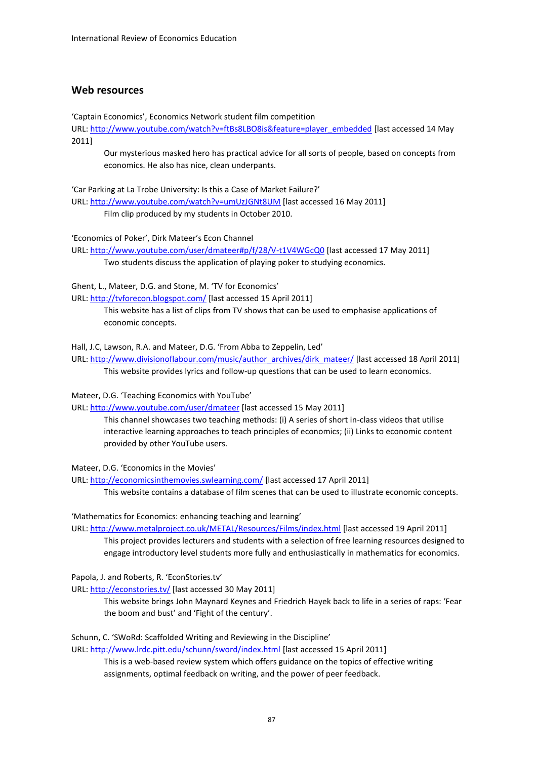#### **Web resources**

'Captain Economics', Economics Network student film competition URL: [http://www.youtube.com/watch?v=ftBs8LBO8is&feature=player\\_embedded](http://www.youtube.com/watch?v=ftBs8LBO8is&feature=player_embedded) [last accessed 14 May 2011]

Our mysterious masked hero has practical advice for all sorts of people, based on concepts from economics. He also has nice, clean underpants.

'Car Parking at La Trobe University: Is this a Case of Market Failure?'

URL:<http://www.youtube.com/watch?v=umUzJGNt8UM> [last accessed 16 May 2011] Film clip produced by my students in October 2010.

'Economics of Poker', Dirk Mateer's Econ Channel

URL:<http://www.youtube.com/user/dmateer#p/f/28/V-t1V4WGcQ0> [last accessed 17 May 2011] Two students discuss the application of playing poker to studying economics.

Ghent, L., Mateer, D.G. and Stone, M. 'TV for Economics'

URL:<http://tvforecon.blogspot.com/> [last accessed 15 April 2011]

This website has a list of clips from TV shows that can be used to emphasise applications of economic concepts.

Hall, J.C, Lawson, R.A. and Mateer, D.G. 'From Abba to Zeppelin, Led'

URL: [http://www.divisionoflabour.com/music/author\\_archives/dirk\\_mateer/](http://www.divisionoflabour.com/music/author_archives/dirk_mateer/) [last accessed 18 April 2011] This website provides lyrics and follow-up questions that can be used to learn economics.

Mateer, D.G. 'Teaching Economics with YouTube'

URL:<http://www.youtube.com/user/dmateer> [last accessed 15 May 2011]

This channel showcases two teaching methods: (i) A series of short in-class videos that utilise interactive learning approaches to teach principles of economics; (ii) Links to economic content provided by other YouTube users.

Mateer, D.G. 'Economics in the Movies'

URL:<http://economicsinthemovies.swlearning.com/> [last accessed 17 April 2011] This website contains a database of film scenes that can be used to illustrate economic concepts.

'Mathematics for Economics: enhancing teaching and learning'

URL:<http://www.metalproject.co.uk/METAL/Resources/Films/index.html> [last accessed 19 April 2011] This project provides lecturers and students with a selection of free learning resources designed to engage introductory level students more fully and enthusiastically in mathematics for economics.

Papola, J. and Roberts, R. 'EconStories.tv'

URL:<http://econstories.tv/> [last accessed 30 May 2011]

This website brings John Maynard Keynes and Friedrich Hayek back to life in a series of raps: 'Fear the boom and bust' and 'Fight of the century'.

Schunn, C. 'SWoRd: Scaffolded Writing and Reviewing in the Discipline'

URL:<http://www.lrdc.pitt.edu/schunn/sword/index.html> [last accessed 15 April 2011]

This is a web-based review system which offers guidance on the topics of effective writing assignments, optimal feedback on writing, and the power of peer feedback.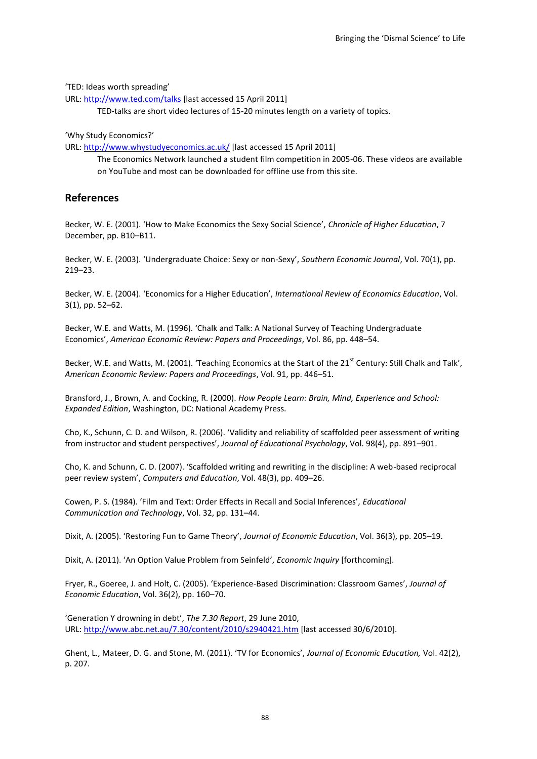'TED: Ideas worth spreading'

URL:<http://www.ted.com/talks> [last accessed 15 April 2011]

TED-talks are short video lectures of 15-20 minutes length on a variety of topics.

'Why Study Economics?'

URL:<http://www.whystudyeconomics.ac.uk/> [last accessed 15 April 2011]

The Economics Network launched a student film competition in 2005-06. These videos are available on YouTube and most can be downloaded for offline use from this site.

#### **References**

Becker, W. E. (2001). 'How to Make Economics the Sexy Social Science', *Chronicle of Higher Education*, 7 December, pp. B10–B11.

Becker, W. E. (2003). 'Undergraduate Choice: Sexy or non-Sexy', *Southern Economic Journal*, Vol. 70(1), pp. 219–23.

Becker, W. E. (2004). 'Economics for a Higher Education', *International Review of Economics Education*, Vol. 3(1), pp. 52–62.

Becker, W.E. and Watts, M. (1996). 'Chalk and Talk: A National Survey of Teaching Undergraduate Economics', *American Economic Review: Papers and Proceedings*, Vol. 86, pp. 448–54.

Becker, W.E. and Watts, M. (2001). 'Teaching Economics at the Start of the  $21<sup>st</sup>$  Century: Still Chalk and Talk', *American Economic Review: Papers and Proceedings*, Vol. 91, pp. 446–51.

Bransford, J., Brown, A. and Cocking, R. (2000). *How People Learn: Brain, Mind, Experience and School: Expanded Edition*, Washington, DC: National Academy Press.

Cho, K., Schunn, C. D. and Wilson, R. (2006). 'Validity and reliability of scaffolded peer assessment of writing from instructor and student perspectives', *Journal of Educational Psychology*, Vol. 98(4), pp. 891–901.

Cho, K. and Schunn, C. D. (2007). 'Scaffolded writing and rewriting in the discipline: A web-based reciprocal peer review system', *Computers and Education*, Vol. 48(3), pp. 409–26.

Cowen, P. S. (1984). 'Film and Text: Order Effects in Recall and Social Inferences', *Educational Communication and Technology*, Vol. 32, pp. 131–44.

Dixit, A. (2005). 'Restoring Fun to Game Theory', *Journal of Economic Education*, Vol. 36(3), pp. 205–19.

Dixit, A. (2011). 'An Option Value Problem from Seinfeld', *Economic Inquiry* [forthcoming].

Fryer, R., Goeree, J. and Holt, C. (2005). 'Experience-Based Discrimination: Classroom Games', *Journal of Economic Education*, Vol. 36(2), pp. 160–70.

'Generation Y drowning in debt', *The 7.30 Report*, 29 June 2010, URL:<http://www.abc.net.au/7.30/content/2010/s2940421.htm> [last accessed 30/6/2010].

Ghent, L., Mateer, D. G. and Stone, M. (2011). 'TV for Economics', *Journal of Economic Education,* Vol. 42(2), p. 207.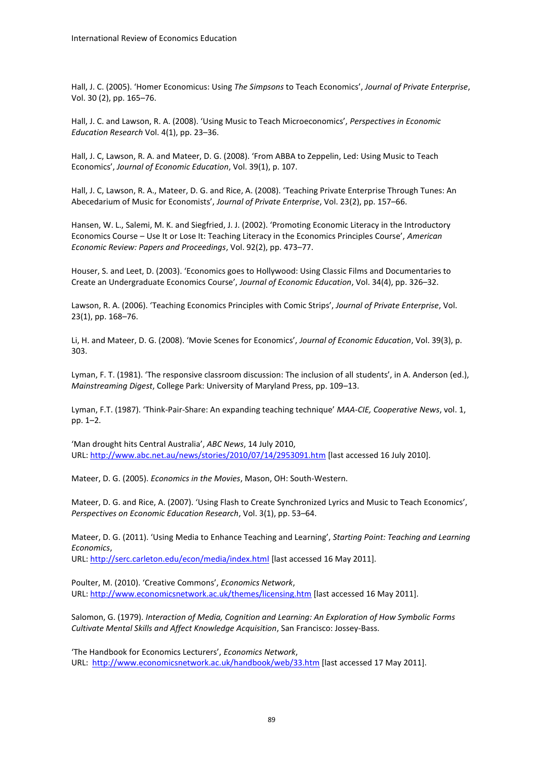Hall, J. C. (2005). 'Homer Economicus: Using *The Simpsons* to Teach Economics', *Journal of Private Enterprise*, Vol. 30 (2), pp. 165–76.

Hall, J. C. and Lawson, R. A. (2008). 'Using Music to Teach Microeconomics', *Perspectives in Economic Education Research* Vol. 4(1), pp. 23–36.

Hall, J. C, Lawson, R. A. and Mateer, D. G. (2008). 'From ABBA to Zeppelin, Led: Using Music to Teach Economics', *Journal of Economic Education*, Vol. 39(1), p. 107.

Hall, J. C, Lawson, R. A., Mateer, D. G. and Rice, A. (2008). 'Teaching Private Enterprise Through Tunes: An Abecedarium of Music for Economists', *Journal of Private Enterprise*, Vol. 23(2), pp. 157–66.

Hansen, W. L., Salemi, M. K. and Siegfried, J. J. (2002). 'Promoting Economic Literacy in the Introductory Economics Course – Use It or Lose It: Teaching Literacy in the Economics Principles Course', *American Economic Review: Papers and Proceedings*, Vol. 92(2), pp. 473–77.

Houser, S. and Leet, D. (2003). 'Economics goes to Hollywood: Using Classic Films and Documentaries to Create an Undergraduate Economics Course', *Journal of Economic Education*, Vol. 34(4), pp. 326–32.

Lawson, R. A. (2006). 'Teaching Economics Principles with Comic Strips', *Journal of Private Enterprise*, Vol. 23(1), pp. 168–76.

Li, H. and Mateer, D. G. (2008). 'Movie Scenes for Economics', *Journal of Economic Education*, Vol. 39(3), p. 303.

Lyman, F. T. (1981). 'The responsive classroom discussion: The inclusion of all students', in A. Anderson (ed.), *Mainstreaming Digest*, College Park: University of Maryland Press, pp. 109–13.

Lyman, F.T. (1987). 'Think-Pair-Share: An expanding teaching technique' *MAA-CIE, Cooperative News*, vol. 1, pp. 1–2.

'Man drought hits Central Australia', *ABC News*, 14 July 2010, URL:<http://www.abc.net.au/news/stories/2010/07/14/2953091.htm> [last accessed 16 July 2010].

Mateer, D. G. (2005). *Economics in the Movies*, Mason, OH: South-Western.

Mateer, D. G. and Rice, A. (2007). 'Using Flash to Create Synchronized Lyrics and Music to Teach Economics', *Perspectives on Economic Education Research*, Vol. 3(1), pp. 53–64.

Mateer, D. G. (2011). 'Using Media to Enhance Teaching and Learning', *Starting Point: Teaching and Learning Economics*,

URL:<http://serc.carleton.edu/econ/media/index.html> [last accessed 16 May 2011].

Poulter, M. (2010). 'Creative Commons', *Economics Network*, URL:<http://www.economicsnetwork.ac.uk/themes/licensing.htm> [last accessed 16 May 2011].

Salomon, G. (1979). *Interaction of Media, Cognition and Learning: An Exploration of How Symbolic Forms Cultivate Mental Skills and Affect Knowledge Acquisition*, San Francisco: Jossey-Bass.

'The Handbook for Economics Lecturers', *Economics Network*, URL:<http://www.economicsnetwork.ac.uk/handbook/web/33.htm> [last accessed 17 May 2011].